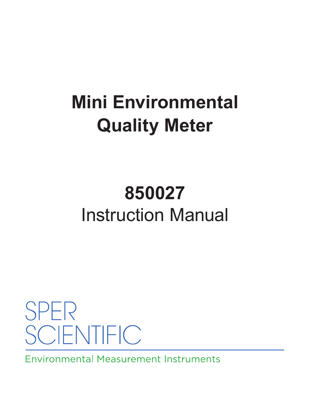# **Mini Environmental Quality Meter**

# **850027** Instruction Manual

**SPER SCIENTIFIC** 

**Environmental Measurement Instruments**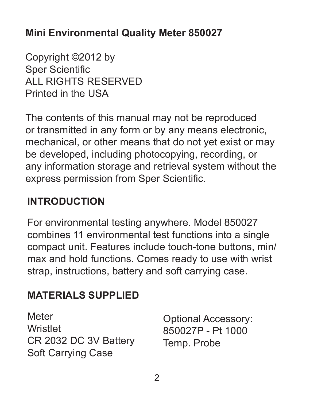#### **Mini Environmental Quality Meter 850027**

Copyright ©2012 by Sper Scientific ALL RIGHTS RESERVED Printed in the USA

The contents of this manual may not be reproduced or transmitted in any form or by any means electronic, mechanical, or other means that do not yet exist or may be developed, including photocopying, recording, or any information storage and retrieval system without the express permission from Sper Scientific.

# **INTRODUCTION**

For environmental testing anywhere. Model 850027 combines 11 environmental test functions into a single compact unit. Features include touch-tone buttons, min/ max and hold functions. Comes ready to use with wrist strap, instructions, battery and soft carrying case.

# **MATERIALS SUPPLIED**

**Meter** Wristlet CR 2032 DC 3V Battery Soft Carrying Case

Optional Accessory: 850027P - Pt 1000 Temp. Probe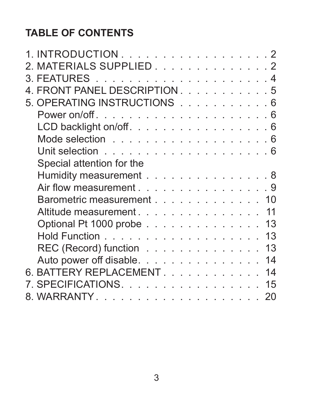# **TABLE OF CONTENTS**

| 1. INTRODUCTION 2             |  |  |  |  |  |  |    |
|-------------------------------|--|--|--|--|--|--|----|
| 2. MATERIALS SUPPLIED. 2      |  |  |  |  |  |  |    |
|                               |  |  |  |  |  |  |    |
| 4. FRONT PANEL DESCRIPTION. 5 |  |  |  |  |  |  |    |
| 5. OPERATING INSTRUCTIONS 6   |  |  |  |  |  |  |    |
|                               |  |  |  |  |  |  |    |
| LCD backlight on/off. 6       |  |  |  |  |  |  |    |
|                               |  |  |  |  |  |  |    |
|                               |  |  |  |  |  |  |    |
| Special attention for the     |  |  |  |  |  |  |    |
| Humidity measurement 8        |  |  |  |  |  |  |    |
| Air flow measurement 9        |  |  |  |  |  |  |    |
| Barometric measurement 10     |  |  |  |  |  |  |    |
| Altitude measurement.         |  |  |  |  |  |  | 11 |
| Optional Pt 1000 probe 13     |  |  |  |  |  |  |    |
|                               |  |  |  |  |  |  | 13 |
| REC (Record) function         |  |  |  |  |  |  | 13 |
| Auto power off disable.       |  |  |  |  |  |  | 14 |
| 6. BATTERY REPLACEMENT.       |  |  |  |  |  |  | 14 |
| 7. SPECIFICATIONS.            |  |  |  |  |  |  | 15 |
|                               |  |  |  |  |  |  | 20 |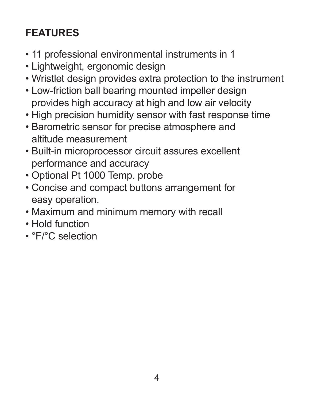# **FEATURES**

- 11 professional environmental instruments in 1
- Lightweight, ergonomic design
- Wristlet design provides extra protection to the instrument
- Low-friction ball bearing mounted impeller design provides high accuracy at high and low air velocity
- High precision humidity sensor with fast response time
- Barometric sensor for precise atmosphere and altitude measurement
- Built-in microprocessor circuit assures excellent performance and accuracy
- Optional Pt 1000 Temp. probe
- Concise and compact buttons arrangement for easy operation.
- Maximum and minimum memory with recall
- Hold function
- °F/°C selection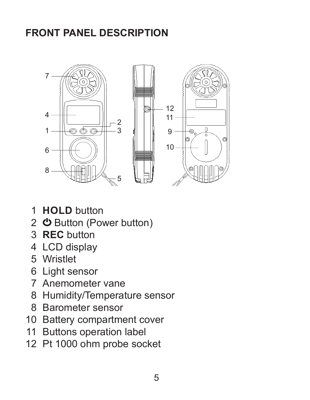# **FRONT PANEL DESCRIPTION**



- 1 **HOLD** button
- 2 **の** Button (Power button)
- 3-1 Hold button 3 **REC** button
- 3-1 LCD display<br>4 LCD display
- 5 Wristlet
- 3-5 Wristlet 6 Light sensor
- 7 Anemometer vane
- 3-8 Battery Compartment / Cover 8 Humidity/Temperature sensor
- 8 Barometer sensor
- 10 Battery compartment cover
- 11 Buttons operation label
- 12 Pt 1000 ohm probe socket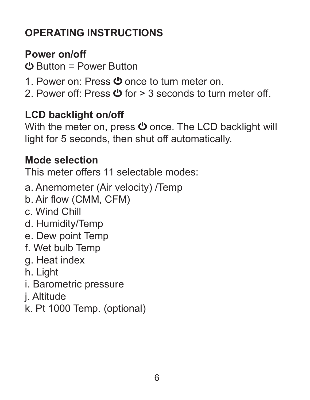# **OPERATING INSTRUCTIONS**

#### **Power on/off**

Button = Power Button

- 1. Power on: Press  $\Phi$  once to turn meter on.
- 2. Power off: Press  $\Phi$  for  $> 3$  seconds to turn meter off.

#### **LCD backlight on/off**

With the meter on, press  $\Phi$  once. The LCD backlight will light for 5 seconds, then shut off automatically.

#### **Mode selection**

This meter offers 11 selectable modes:

a. Anemometer (Air velocity) /Temp b. Air flow (CMM, CFM)

- c. Wind Chill
- d. Humidity/Temp
- e. Dew point Temp
- f. Wet bulb Temp
- g. Heat index
- h. Light
- i. Barometric pressure
- j. Altitude
- k. Pt 1000 Temp. (optional)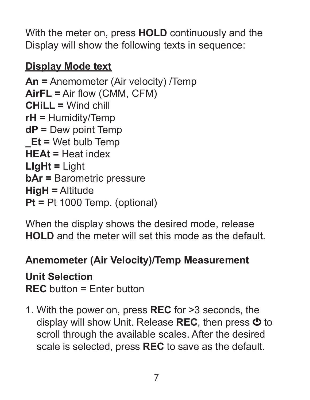With the meter on, press **HOLD** continuously and the Display will show the following texts in sequence:

# **Display Mode text**

**An =** Anemometer (Air velocity) /Temp **AirFL =** Air flow (CMM, CFM) **CHiLL =** Wind chill **rH =** Humidity/Temp **dP =** Dew point Temp **\_Et =** Wet bulb Temp **HEAt =** Heat index **LIgHt =** Light **bAr =** Barometric pressure **HigH =** Altitude **Pt =** Pt 1000 Temp. (optional)

When the display shows the desired mode, release **HOLD** and the meter will set this mode as the default.

# **Anemometer (Air Velocity)/Temp Measurement**

# **Unit Selection**

**REC** button = Enter button

1. With the power on, press **REC** for >3 seconds, the display will show Unit. Release **REC**, then press  $\Phi$  to scroll through the available scales. After the desired scale is selected, press **REC** to save as the default.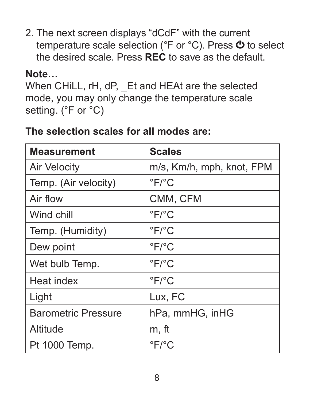2. The next screen displays "dCdF" with the current temperature scale selection ( ${}^{\circ}$ F or  ${}^{\circ}$ C). Press  $\bullet$  to select the desired scale. Press **REC** to save as the default.

#### **Note…**

```
When CHiLL, rH, dP, Et and HEAt are the selected
mode, you may only change the temperature scale 
setting. (°F or °C)
```
### **The selection scales for all modes are:**

| <b>Measurement</b>         | <b>Scales</b>             |
|----------------------------|---------------------------|
| Air Velocity               | m/s, Km/h, mph, knot, FPM |
| Temp. (Air velocity)       | $\degree$ F/ $\degree$ C  |
| Air flow                   | CMM, CFM                  |
| Wind chill                 | $\degree$ F/ $\degree$ C  |
| Temp. (Humidity)           | $\degree$ F/ $\degree$ C  |
| Dew point                  | $\degree$ F/ $\degree$ C  |
| Wet bulb Temp.             | $\degree$ F/ $\degree$ C  |
| Heat index                 | $\degree$ F/ $\degree$ C  |
| Light                      | Lux, FC                   |
| <b>Barometric Pressure</b> | hPa, mmHG, inHG           |
| Altitude                   | m, ft                     |
| Pt 1000 Temp.              | $\degree$ F/ $\degree$ C  |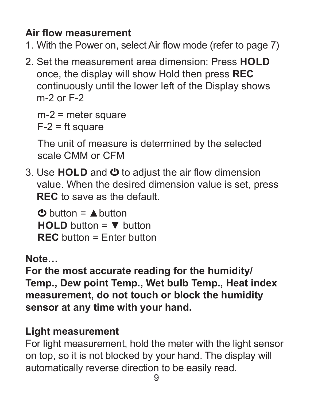# **Air flow measurement**

- 1. With the Power on, select Air flow mode (refer to page 7)
- 2. Set the measurement area dimension: Press **HOLD** once, the display will show Hold then press **REC** continuously until the lower left of the Display shows m-2 or F-2

m-2 = meter square  $F-2 = ft$  square

The unit of measure is determined by the selected scale CMM or CFM

3. Use HOLD and **①** to adjust the air flow dimension value. When the desired dimension value is set, press **REC** to save as the default.

 $\bigcirc$  button =  $\bigwedge$  button **HOLD** button = ▼ button **REC** button = Enter button

**Note…**

**For the most accurate reading for the humidity/ Temp., Dew point Temp., Wet bulb Temp., Heat index measurement, do not touch or block the humidity sensor at any time with your hand.**

#### **Light measurement**

For light measurement, hold the meter with the light sensor on top, so it is not blocked by your hand. The display will automatically reverse direction to be easily read.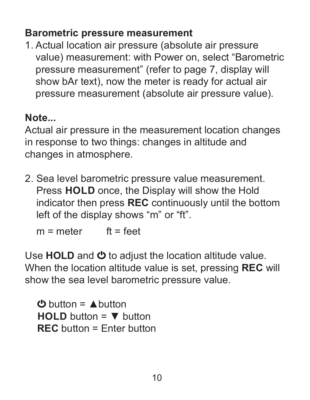#### **Barometric pressure measurement**

1. Actual location air pressure (absolute air pressure value) measurement: with Power on, select "Barometric pressure measurement" (refer to page 7, display will show bAr text), now the meter is ready for actual air pressure measurement (absolute air pressure value).

#### **Note...**

Actual air pressure in the measurement location changes in response to two things: changes in altitude and changes in atmosphere.

2. Sea level barometric pressure value measurement. Press **HOLD** once, the Display will show the Hold indicator then press **REC** continuously until the bottom left of the display shows "m" or "ft".

 $m =$  meter  $f_{t} =$  feet

Use **HOLD** and  $\Phi$  to adjust the location altitude value. When the location altitude value is set, pressing **REC** will show the sea level barometric pressure value.

 $\mathbf{d}$  button =  $\mathbf{\triangle}$  button **HOLD** button = ▼ button **REC** button = Enter button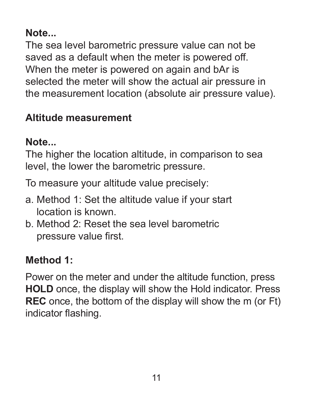#### **Note...**

The sea level barometric pressure value can not be saved as a default when the meter is powered off. When the meter is powered on again and bAr is selected the meter will show the actual air pressure in the measurement location (absolute air pressure value).

#### **Altitude measurement**

#### **Note...**

The higher the location altitude, in comparison to sea level, the lower the barometric pressure.

To measure your altitude value precisely:

- a. Method 1: Set the altitude value if your start location is known.
- b. Method 2: Reset the sea level barometric pressure value first.

# **Method 1:**

Power on the meter and under the altitude function, press **HOLD** once, the display will show the Hold indicator. Press **REC** once, the bottom of the display will show the m (or Ft) indicator flashing.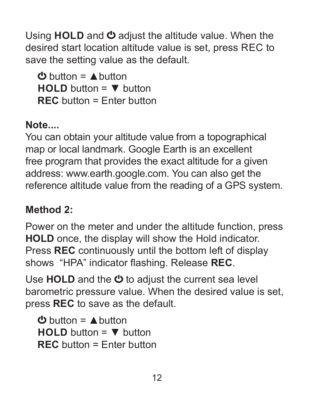Using HOLD and  $\Phi$  adjust the altitude value. When the desired start location altitude value is set, press REC to save the setting value as the default.

 $\mathbf{\Phi}$  button =  $\mathbf{\triangle}$  button **HOLD** button = ▼ button **REC** button = Enter button

# **Note....**

You can obtain your altitude value from a topographical map or local landmark. Google Earth is an excellent free program that provides the exact altitude for a given address: www.earth.google.com. You can also get the reference altitude value from the reading of a GPS system.

# **Method 2:**

Power on the meter and under the altitude function, press **HOLD** once, the display will show the Hold indicator. Press **REC** continuously until the bottom left of display shows "HPA" indicator flashing. Release **REC**.

Use **HOLD** and the  $\Phi$  to adjust the current sea level barometric pressure value. When the desired value is set, press **REC** to save as the default.

 $\mathbf{\Phi}$  button =  $\mathbf{\triangle}$  button **HOLD** button = ▼ button **REC** button = Enter button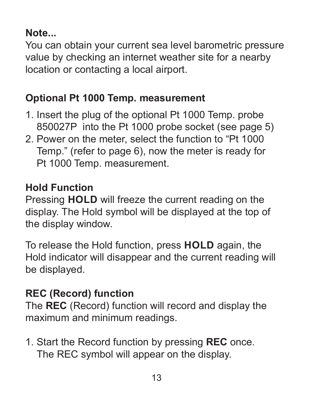#### **Note...**

You can obtain your current sea level barometric pressure value by checking an internet weather site for a nearby location or contacting a local airport.

#### **Optional Pt 1000 Temp. measurement**

- 1. Insert the plug of the optional Pt 1000 Temp. probe 850027P into the Pt 1000 probe socket (see page 5)
- 2. Power on the meter, select the function to "Pt 1000 Temp." (refer to page 6), now the meter is ready for Pt 1000 Temp. measurement.

#### **Hold Function**

Pressing **HOLD** will freeze the current reading on the display. The Hold symbol will be displayed at the top of the display window.

To release the Hold function, press **HOLD** again, the Hold indicator will disappear and the current reading will be displayed.

# **REC (Record) function**

The **REC** (Record) function will record and display the maximum and minimum readings.

1. Start the Record function by pressing **REC** once. The REC symbol will appear on the display.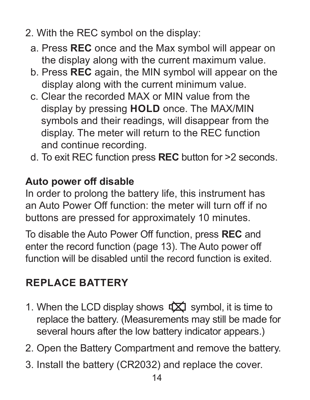- 2. With the REC symbol on the display:
	- a. Press **REC** once and the Max symbol will appear on the display along with the current maximum value.
	- b. Press **REC** again, the MIN symbol will appear on the display along with the current minimum value.
	- c. Clear the recorded MAX or MIN value from the display by pressing **HOLD** once. The MAX/MIN symbols and their readings, will disappear from the display. The meter will return to the REC function and continue recording.
	- d. To exit REC function press **REC** button for >2 seconds.

#### **Auto power off disable**

In order to prolong the battery life, this instrument has an Auto Power Off function: the meter will turn off if no buttons are pressed for approximately 10 minutes.

To disable the Auto Power Off function, press **REC** and enter the record function (page 13). The Auto power off function will be disabled until the record function is exited.

#### **REPLACE BATTERY**

- 1. When the LCD display shows  $\overrightarrow{TX}$  symbol, it is time to replace the battery. (Measurements may still be made for several hours after the low battery indicator appears.)
- 2. Open the Battery Compartment and remove the battery.
- 3. Install the battery (CR2032) and replace the cover.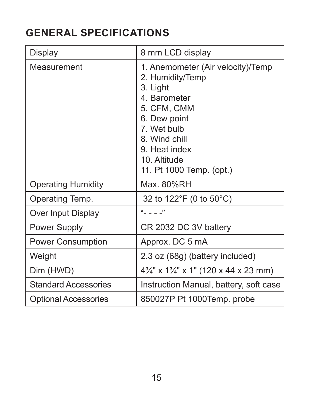# **GENERAL SPECIFICATIONS**

| Display                     | 8 mm LCD display                                                                                                                                                                                              |
|-----------------------------|---------------------------------------------------------------------------------------------------------------------------------------------------------------------------------------------------------------|
| Measurement                 | 1. Anemometer (Air velocity)/Temp<br>2. Humidity/Temp<br>3. Light<br>4. Barometer<br>5. CFM, CMM<br>6. Dew point<br>7. Wet bulb<br>8. Wind chill<br>9. Heat index<br>10. Altitude<br>11. Pt 1000 Temp. (opt.) |
| <b>Operating Humidity</b>   | Max. 80%RH                                                                                                                                                                                                    |
| Operating Temp.             | 32 to 122°F (0 to 50°C)                                                                                                                                                                                       |
| Over Input Display          | $\omega$ $\omega$                                                                                                                                                                                             |
| <b>Power Supply</b>         | CR 2032 DC 3V battery                                                                                                                                                                                         |
| <b>Power Consumption</b>    | Approx. DC 5 mA                                                                                                                                                                                               |
| Weight                      | 2.3 oz (68g) (battery included)                                                                                                                                                                               |
| Dim (HWD)                   | 4 <sup>3</sup> / <sub>4</sub> " x 1 <sup>3</sup> / <sub>4</sub> " x 1" (120 x 44 x 23 mm)                                                                                                                     |
| <b>Standard Accessories</b> | Instruction Manual, battery, soft case                                                                                                                                                                        |
| <b>Optional Accessories</b> | 850027P Pt 1000Temp. probe                                                                                                                                                                                    |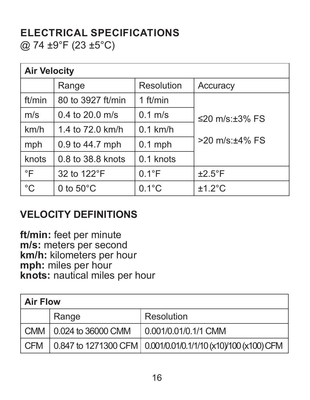#### **ELECTRICAL SPECIFICATIONS** @ 74 ±9°F (23 ±5°C)

| <b>Air Velocity</b> |                              |                 |                      |  |  |  |
|---------------------|------------------------------|-----------------|----------------------|--|--|--|
|                     | Range                        | Resolution      | Accuracy             |  |  |  |
| ft/min              | 80 to 3927 ft/min            | $1$ ft/min      |                      |  |  |  |
| m/s                 | $0.4$ to $20.0$ m/s          | $0.1$ m/s       | ≤20 m/s: $±3\%$ FS   |  |  |  |
| km/h                | 1.4 to 72.0 km/h             | $0.1$ km/h      |                      |  |  |  |
| mph                 | $0.1$ mph<br>0.9 to 44.7 mph |                 | $>20$ m/s: $+4\%$ FS |  |  |  |
| knots               | 0.8 to 38.8 knots            | $0.1$ knots     |                      |  |  |  |
| $\circ$ F           | 32 to 122°F                  | $0.1^{\circ}$ F | $±2.5^{\circ}F$      |  |  |  |
| $^{\circ}$ C        | 0 to $50^{\circ}$ C          | $0.1^{\circ}$ C | $±1.2^{\circ}$ C     |  |  |  |

#### **VELOCITY DEFINITIONS**

**ft/min:** feet per minute **m/s:** meters per second **km/h:** kilometers per hour **mph:** miles per hour **knots:** nautical miles per hour

| <b>Air Flow</b> |                          |                                                                               |  |  |  |
|-----------------|--------------------------|-------------------------------------------------------------------------------|--|--|--|
|                 | Range                    | Resolution                                                                    |  |  |  |
|                 | CMM   0.024 to 36000 CMM | 0.001/0.01/0.1/1 CMM                                                          |  |  |  |
| CFM             |                          | $\vert$ 0.847 to 1271300 CFM $\vert$ 0.001/0.01/0.1/1/10 (x10)/100 (x100) CFM |  |  |  |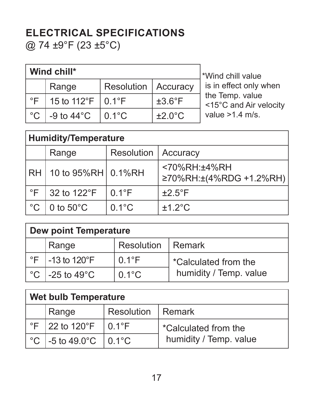# **ELECTRICAL SPECIFICATIONS**

@ 74 ±9°F (23 ±5°C)

| Wind chill*   |                        |                       |                     |          |  |  |  |
|---------------|------------------------|-----------------------|---------------------|----------|--|--|--|
|               | Range                  | Resolution   Accuracy |                     | is<br>th |  |  |  |
| $^{\circ}$ F  | 15 to 112°F   $0.1$ °F |                       | $±3.6^{\circ}F$     |          |  |  |  |
| $^{\circ}$ C. | -9 to $44^{\circ}$ C   | $0.1^{\circ}$ C       | $\pm 2.0^{\circ}$ C |          |  |  |  |

ind chill value in effect only when e Temp. value <15°C and Air velocity  $lue > 1.4$  m/s.

| <b>Humidity/Temperature</b> |                     |                 |                                                  |  |  |
|-----------------------------|---------------------|-----------------|--------------------------------------------------|--|--|
|                             | Range               | Resolution      | Accuracy                                         |  |  |
| <b>RH</b>                   | 10 to 95%RH 0.1%RH  |                 | $<70\%$ RH: $+4\%$ RH<br>≥70%RH:±(4%RDG +1.2%RH) |  |  |
| °F                          | 32 to 122°F         | $0.1^{\circ}$ F | $±2.5^{\circ}F$                                  |  |  |
| °C                          | 0 to $50^{\circ}$ C | $0.1^{\circ}$ C | $+1.2$ °C                                        |  |  |

| Dew point Temperature |                                      |                     |                        |  |  |  |
|-----------------------|--------------------------------------|---------------------|------------------------|--|--|--|
|                       | Range                                | Resolution   Remark |                        |  |  |  |
|                       | $\degree$ F   -13 to 120 $\degree$ F | $0.1^{\circ}$ F     | *Calculated from the   |  |  |  |
| ∣°C                   | $\vert$ -25 to 49 $^\circ$ C         | $0.1^{\circ}$ C     | humidity / Temp. value |  |  |  |

| Wet bulb Temperature |                                                           |                     |                        |  |  |  |
|----------------------|-----------------------------------------------------------|---------------------|------------------------|--|--|--|
|                      | Range                                                     | Resolution   Remark |                        |  |  |  |
|                      | $\degree$ F   22 to 120 $\degree$ F                       | $\mid$ 0.1°F        | *Calculated from the   |  |  |  |
|                      | $^{\circ}$ C   -5 to 49.0 $^{\circ}$ C   0.1 $^{\circ}$ C |                     | humidity / Temp. value |  |  |  |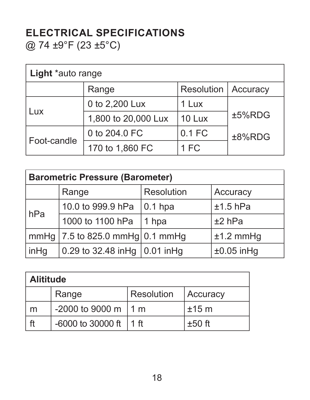#### **ELECTRICAL SPECIFICATIONS** @ 74 ±9°F (23 ±5°C)

| Light *auto range |                     |            |           |  |  |
|-------------------|---------------------|------------|-----------|--|--|
|                   | Range               | Resolution | Accuracy  |  |  |
|                   | 0 to 2,200 Lux      | 1 Lux      |           |  |  |
| Lux               | 1,800 to 20,000 Lux | 10 Lux     | ±5%RDG    |  |  |
|                   | 0 to 204.0 FC       | $0.1$ FC   | $±8%$ RDG |  |  |
| Foot-candle       | 170 to 1,860 FC     | 1 FC       |           |  |  |

| <b>Barometric Pressure (Barometer)</b> |                                                               |            |              |  |  |
|----------------------------------------|---------------------------------------------------------------|------------|--------------|--|--|
|                                        | Range                                                         | Resolution | Accuracy     |  |  |
| hPa                                    | 10.0 to 999.9 hPa                                             | $ 0.1$ hpa | $±1.5$ hPa   |  |  |
|                                        | 1000 to 1100 hPa                                              | 1 hpa      | $±2$ hPa     |  |  |
|                                        | $\lfloor$ mmHg $\lfloor$ 7.5 to 825.0 mmHg $\lfloor$ 0.1 mmHg |            | $±1.2$ mmHg  |  |  |
| inHg                                   | 0.29 to 32.48 inHg   0.01 inHg                                |            | $±0.05$ inHq |  |  |

| <b>Alititude</b> |                            |            |          |  |  |  |
|------------------|----------------------------|------------|----------|--|--|--|
|                  | Range                      | Resolution | Accuracy |  |  |  |
| m                | $-2000$ to 9000 m   1 m    |            | $±15$ m  |  |  |  |
| ft               | $-6000$ to 30000 ft   1 ft |            | $±50$ ft |  |  |  |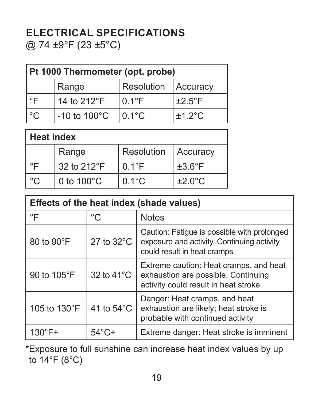#### **ELECTRICAL SPECIFICATIONS** @ 74 ±9°F (23 ±5°C)

| Pt 1000 Thermometer (opt. probe) |                          |                 |                 |  |  |
|----------------------------------|--------------------------|-----------------|-----------------|--|--|
|                                  | Range                    | Resolution      | Accuracy        |  |  |
| °F                               | 14 to 212°F              | $0.1^{\circ}$ F | $±2.5^{\circ}F$ |  |  |
| l °C.                            | $-10$ to $100^{\circ}$ C | $0.1^{\circ}$ C | $+1.2$ °C       |  |  |

| <b>Heat index</b> |                      |                 |                     |  |  |
|-------------------|----------------------|-----------------|---------------------|--|--|
|                   | Range                | Resolution      | Accuracy            |  |  |
| °F                | 32 to 212°F          | $0.1^{\circ}$ F | $\pm 3.6^{\circ}$ F |  |  |
| ഀ൨                | 0 to $100^{\circ}$ C | $0.1^{\circ}$ C | $+2.0^{\circ}$ C    |  |  |

| Effects of the heat index (shade values) |                      |                                                                                                                          |  |  |
|------------------------------------------|----------------------|--------------------------------------------------------------------------------------------------------------------------|--|--|
| °F                                       | °C.                  | <b>Notes</b>                                                                                                             |  |  |
| 80 to 90°F                               | 27 to $32^{\circ}$ C | Caution: Fatigue is possible with prolonged<br>exposure and activity. Continuing activity<br>could result in heat cramps |  |  |
| 90 to 105°F                              | 32 to $41^{\circ}$ C | Extreme caution: Heat cramps, and heat<br>exhaustion are possible. Continuing<br>activity could result in heat stroke    |  |  |
| 105 to 130°F                             | 41 to $54^{\circ}$ C | Danger: Heat cramps, and heat<br>exhaustion are likely; heat stroke is<br>probable with continued activity               |  |  |
| $130^\circ F +$                          | $54^{\circ}$ C+      | Extreme danger: Heat stroke is imminent                                                                                  |  |  |

\*Exposure to full sunshine can increase heat index values by up to 14°F (8°C)